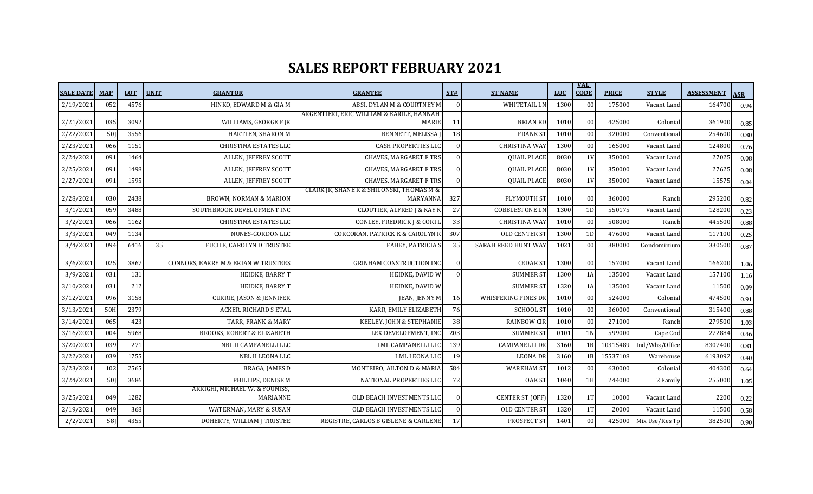## **SALES REPORT FEBRUARY 2021**

| <b>SALE DATE</b> | <b>MAP</b>      | <b>LOT</b> | <b>UNIT</b> | <b>GRANTOR</b>                                 | <b>GRANTEE</b>                                            | ST#       | <b>ST NAME</b>             | <b>LUC</b> | <u>VAL</u><br><b>CODE</b> | <b>PRICE</b> | <b>STYLE</b>   | <b>ASSESSMENT</b> | <b>ASR</b> |
|------------------|-----------------|------------|-------------|------------------------------------------------|-----------------------------------------------------------|-----------|----------------------------|------------|---------------------------|--------------|----------------|-------------------|------------|
| 2/19/2021        | 052             | 4576       |             | HINKO, EDWARD M & GIA M                        | ABSI, DYLAN M & COURTNEY M                                | $\Omega$  | WHITETAIL LN               | 1300       | 00                        | 175000       | Vacant Land    | 164700            | 0.94       |
| 2/21/2021        | 035             | 3092       |             | WILLIAMS, GEORGE F IR                          | ARGENTIERI, ERIC WILLIAM & BARILE, HANNAH<br><b>MARIE</b> | 11        | <b>BRIAN RD</b>            | 1010       | 00                        | 425000       | Colonial       | 361900            | 0.85       |
| 2/22/2021        | 50              | 3556       |             | HARTLEN, SHARON M                              | BENNETT, MELISSA                                          | 18        | <b>FRANK ST</b>            | 1010       | 00                        | 320000       | Conventional   | 254600            | 0.80       |
| 2/23/2021        | 066             | 1151       |             | <b>CHRISTINA ESTATES LLO</b>                   | <b>CASH PROPERTIES LLC</b>                                |           | <b>CHRISTINA WAY</b>       | 1300       | 00                        | 165000       | Vacant Land    | 124800            | 0.76       |
| 2/24/2021        | 091             | 1464       |             | ALLEN, JEFFREY SCOTT                           | <b>CHAVES, MARGARET F TRS</b>                             |           | <b>QUAIL PLACE</b>         | 8030       | 1 <sub>V</sub>            | 350000       | Vacant Land    | 27025             | 0.08       |
| 2/25/2021        | 091             | 1498       |             | ALLEN, JEFFREY SCOTT                           | <b>CHAVES, MARGARET F TRS</b>                             |           | <b>QUAIL PLACE</b>         | 8030       | 1V                        | 350000       | Vacant Land    | 27625             | 0.08       |
| 2/27/2021        | 091             | 1595       |             | ALLEN, JEFFREY SCOTT                           | <b>CHAVES, MARGARET F TRS</b>                             |           | <b>QUAIL PLACE</b>         | 8030       | 1V                        | 350000       | Vacant Land    | 15575             | 0.04       |
| 2/28/2021        | 03 <sub>C</sub> | 2438       |             | <b>BROWN, NORMAN &amp; MARION</b>              | CLARK JR, SHANE R & SHILONSKI, THOMAS M &<br>MARYANNA     | 327       | PLYMOUTH ST                | 1010       | 00                        | 360000       | Ranch          | 295200            | 0.82       |
| 3/1/2021         | 059             | 3488       |             | SOUTHBROOK DEVELOPMENT INC                     | <b>CLOUTIER, ALFRED J &amp; KAY K</b>                     | 27        | <b>COBBLESTONE LN</b>      | 1300       | 1D                        | 550175       | Vacant Land    | 128200            | 0.23       |
| 3/2/2021         | 066             | 1162       |             | <b>CHRISTINA ESTATES LLC</b>                   | CONLEY, FREDRICK J & CORI I                               | 33        | <b>CHRISTINA WAY</b>       | 1010       | 00                        | 508000       | Ranch          | 445500            | 0.88       |
| 3/3/2021         | 049             | 1134       |             | NUNES-GORDON LLO                               | CORCORAN, PATRICK K & CAROLYN R                           | 307       | OLD CENTER ST              | 1300       | 1D                        | 476000       | Vacant Land    | 117100            | 0.25       |
| 3/4/2021         | 094             | 6416       | 35          | FUCILE, CAROLYN D TRUSTEE                      | <b>FAHEY, PATRICIA S</b>                                  | 35        | SARAH REED HUNT WAY        | 1021       | 00                        | 380000       | Condominium    | 330500            | 0.87       |
| 3/6/2021         | 025             | 3867       |             | <b>CONNORS, BARRY M &amp; BRIAN W TRUSTEES</b> | <b>GRINHAM CONSTRUCTION INC</b>                           |           | <b>CEDAR ST</b>            | 1300       | 00                        | 157000       | Vacant Land    | 166200            | 1.06       |
| 3/9/2021         | 031             | 131        |             | HEIDKE, BARRY T                                | HEIDKE, DAVID W                                           |           | <b>SUMMER ST</b>           | 1300       | 1A                        | 135000       | Vacant Land    | 157100            | 1.16       |
| 3/10/2021        | 031             | 212        |             | HEIDKE, BARRY T                                | HEIDKE, DAVID W                                           |           | <b>SUMMER ST</b>           | 1320       | 1A                        | 135000       | Vacant Land    | 11500             | 0.09       |
| 3/12/2021        | 096             | 3158       |             | <b>CURRIE, JASON &amp; JENNIFER</b>            | JEAN, JENNY M                                             | <b>16</b> | <b>WHISPERING PINES DR</b> | 1010       | 00                        | 524000       | Colonial       | 474500            | 0.91       |
| 3/13/2021        | 50 <sub>I</sub> | 2379       |             | ACKER, RICHARD S ETAL                          | KARR, EMILY ELIZABETH                                     | 76        | <b>SCHOOL ST</b>           | 1010       | 00                        | 360000       | Conventional   | 315400            | 0.88       |
| 3/14/2021        | 065             | 423        |             | TARR, FRANK & MARY                             | KEELEY, JOHN & STEPHANIE                                  | 38        | <b>RAINBOW CIR</b>         | 1010       | 00                        | 271000       | Ranch          | 279500            | 1.03       |
| 3/16/2021        | 004             | 5968       |             | <b>BROOKS, ROBERT &amp; ELIZABETH</b>          | LEX DEVELOPMENT, INC                                      | 203       | <b>SUMMER ST</b>           | 0101       | 1 <sub>N</sub>            | 599000       | Cape Cod       | 272884            | 0.46       |
| 3/20/2021        | 039             | 271        |             | NBL II CAMPANELLI LLO                          | LML CAMPANELLI LLC                                        | 139       | <b>CAMPANELLI DR</b>       | 3160       | 1B                        | 10315489     | Ind/Whs/Office | 8307400           | 0.81       |
| 3/22/2021        | 039             | 1755       |             | NBL II LEONA LLO                               | LML LEONA LLO                                             | 19        | <b>LEONA DR</b>            | 3160       | 1B                        | 15537108     | Warehouse      | 6193092           | 0.40       |
| 3/23/2021        | 102             | 2565       |             | <b>BRAGA, JAMES D</b>                          | MONTEIRO, AILTON D & MARIA                                | 584       | <b>WAREHAM ST</b>          | 1012       | 00                        | 630000       | Colonial       | 404300            | 0.64       |
| 3/24/2021        | 50              | 3686       |             | PHILLIPS, DENISE M                             | NATIONAL PROPERTIES LL                                    | 72        | <b>OAK ST</b>              | 1040       | 1H                        | 244000       | 2 Family       | 255000            | 1.05       |
| 3/25/2021        | 049             | 1282       |             | ARRIGHI, MICHAEL W. & YOUNISS,<br>MARIANNE     | OLD BEACH INVESTMENTS LLC                                 |           | <b>CENTER ST (OFF)</b>     | 1320       | 1T                        | 10000        | Vacant Land    | 2200              | 0.22       |
| 2/19/2021        | 049             | 368        |             | WATERMAN, MARY & SUSAN                         | OLD BEACH INVESTMENTS LLC                                 | $\Omega$  | OLD CENTER ST              | 1320       | 1T                        | 20000        | Vacant Land    | 11500             | 0.58       |
| 2/2/2021         | 58]             | 4355       |             | DOHERTY, WILLIAM J TRUSTEE                     | REGISTRE, CARLOS B GISLENE & CARLENE                      | 17        | PROSPECT ST                | 1401       | 00                        | 425000       | Mix Use/Res Tp | 382500            | 0.90       |